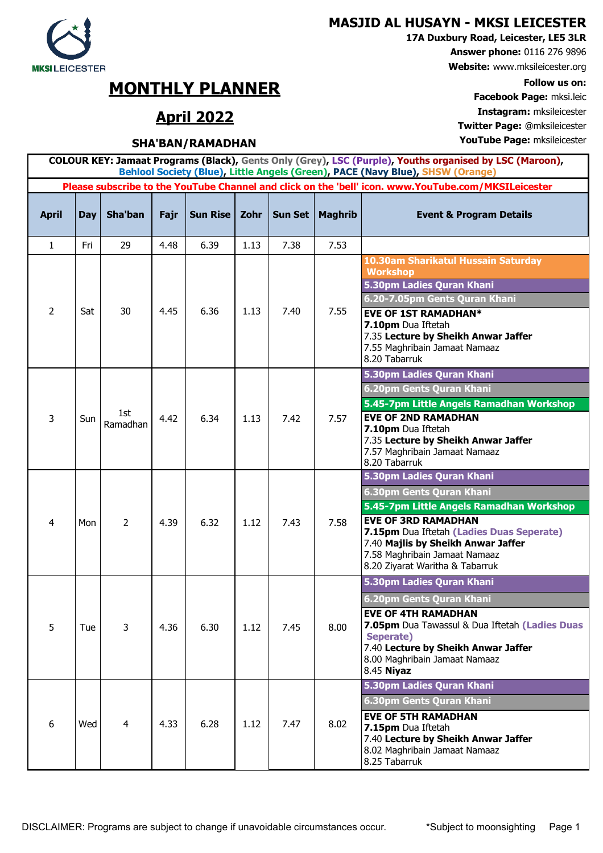### **MASJID AL HUSAYN - MKSI LEICESTER**

**17A Duxbury Road, Leicester, LE5 3LR**

**Answer phone:** 0116 276 9896

**Website:** www.mksileicester.org

**Facebook Page:** mksi.leic **April 2022 Instagram:** mksileicester **Twitter Page:** @mksileicester

DISCLAIMER: Programs are subject to change if unavoidable circumstances occur. \* Subject to moonsighting Page 1

|                | Behlool Society (Blue), Little Angels (Green), PACE (Navy Blue), SHSW (Orange) |                 |      |                 |      |         |                |                                                                                                                                            |  |  |  |  |
|----------------|--------------------------------------------------------------------------------|-----------------|------|-----------------|------|---------|----------------|--------------------------------------------------------------------------------------------------------------------------------------------|--|--|--|--|
|                |                                                                                |                 |      |                 |      |         |                | Please subscribe to the YouTube Channel and click on the 'bell' icon. www.YouTube.com/MKSILeicester                                        |  |  |  |  |
| <b>April</b>   | <b>Day</b>                                                                     | Sha'ban         | Fajr | <b>Sun Rise</b> | Zohr | Sun Set | <b>Maghrib</b> | <b>Event &amp; Program Details</b>                                                                                                         |  |  |  |  |
| $\mathbf{1}$   | Fri                                                                            | 29              | 4.48 | 6.39            | 1.13 | 7.38    | 7.53           |                                                                                                                                            |  |  |  |  |
|                |                                                                                |                 |      |                 |      |         |                | 10.30am Sharikatul Hussain Saturday<br><b>Workshop</b><br>5.30pm Ladies Quran Khani                                                        |  |  |  |  |
|                |                                                                                |                 |      |                 |      |         |                | 6.20-7.05pm Gents Quran Khani                                                                                                              |  |  |  |  |
| $\overline{2}$ | Sat                                                                            | 30              | 4.45 | 6.36            | 1.13 | 7.40    | 7.55           | <b>EVE OF 1ST RAMADHAN*</b><br>7.10pm Dua Iftetah<br>7.35 Lecture by Sheikh Anwar Jaffer<br>7.55 Maghribain Jamaat Namaaz<br>8.20 Tabarruk |  |  |  |  |
|                |                                                                                |                 |      |                 |      |         |                | 5.30pm Ladies Quran Khani                                                                                                                  |  |  |  |  |
|                |                                                                                | 1st<br>Ramadhan | 4.42 | 6.34            | 1.13 | 7.42    | 7.57           | 6.20pm Gents Quran Khani                                                                                                                   |  |  |  |  |
|                |                                                                                |                 |      |                 |      |         |                | 5.45-7pm Little Angels Ramadhan Workshop                                                                                                   |  |  |  |  |
| 3              | Sun                                                                            |                 |      |                 |      |         |                | <b>EVE OF 2ND RAMADHAN</b><br>7.10pm Dua Iftetah                                                                                           |  |  |  |  |
|                |                                                                                |                 |      |                 |      |         |                | 7.35 Lecture by Sheikh Anwar Jaffer                                                                                                        |  |  |  |  |
|                |                                                                                |                 |      |                 |      |         |                | 7.57 Maghribain Jamaat Namaaz<br>8.20 Tabarruk                                                                                             |  |  |  |  |
|                |                                                                                |                 |      |                 |      |         |                | 5.30pm Ladies Quran Khani                                                                                                                  |  |  |  |  |
|                | Mon                                                                            | $\overline{2}$  | 4.39 | 6.32            | 1.12 | 7.43    | 7.58           | 6.30pm Gents Quran Khani                                                                                                                   |  |  |  |  |
|                |                                                                                |                 |      |                 |      |         |                | 5.45-7pm Little Angels Ramadhan Workshop                                                                                                   |  |  |  |  |
| 4              |                                                                                |                 |      |                 |      |         |                | <b>EVE OF 3RD RAMADHAN</b><br>7.15pm Dua Iftetah (Ladies Duas Seperate)                                                                    |  |  |  |  |
|                |                                                                                |                 |      |                 |      |         |                | 7.40 Majlis by Sheikh Anwar Jaffer<br>7.58 Maghribain Jamaat Namaaz                                                                        |  |  |  |  |
|                |                                                                                |                 |      |                 |      |         |                | 8.20 Ziyarat Waritha & Tabarruk                                                                                                            |  |  |  |  |
|                |                                                                                |                 |      |                 |      |         |                | 5.30pm Ladies Quran Khani                                                                                                                  |  |  |  |  |
|                |                                                                                |                 |      |                 | 1.12 | 7.45    |                | 6.20pm Gents Quran Khani                                                                                                                   |  |  |  |  |
|                |                                                                                | 3               | 4.36 |                 |      |         |                | <b>EVE OF 4TH RAMADHAN</b>                                                                                                                 |  |  |  |  |
| 5              | Tue                                                                            |                 |      | 6.30            |      |         | 8.00           | 7.05pm Dua Tawassul & Dua Iftetah (Ladies Duas<br>Seperate)                                                                                |  |  |  |  |
|                |                                                                                |                 |      |                 |      |         |                | 7.40 Lecture by Sheikh Anwar Jaffer                                                                                                        |  |  |  |  |
|                |                                                                                |                 |      |                 |      |         |                | 8.00 Maghribain Jamaat Namaaz<br>8.45 Niyaz                                                                                                |  |  |  |  |
|                |                                                                                |                 |      |                 |      |         |                | 5.30pm Ladies Quran Khani                                                                                                                  |  |  |  |  |
|                |                                                                                | 4               | 4.33 | 6.28            |      |         |                | 6.30pm Gents Quran Khani                                                                                                                   |  |  |  |  |
| 6              | Wed                                                                            |                 |      |                 | 1.12 | 7.47    | 8.02           | <b>EVE OF 5TH RAMADHAN</b>                                                                                                                 |  |  |  |  |
|                |                                                                                |                 |      |                 |      |         |                | 7.15pm Dua Iftetah<br>7.40 Lecture by Sheikh Anwar Jaffer                                                                                  |  |  |  |  |
|                |                                                                                |                 |      |                 |      |         |                | 8.02 Maghribain Jamaat Namaaz                                                                                                              |  |  |  |  |
|                |                                                                                |                 |      |                 |      |         |                | 8.25 Tabarruk                                                                                                                              |  |  |  |  |

**COLOUR KEY: Jamaat Programs (Black), Gents Only (Grey), LSC (Purple), Youths organised by LSC (Maroon),** 



# **MONTHLY PLANNER** Follow us on:<br> **For about Page:** mkg leight

## **SHA'BAN/RAMADHAN YouTube Page:** mksileicester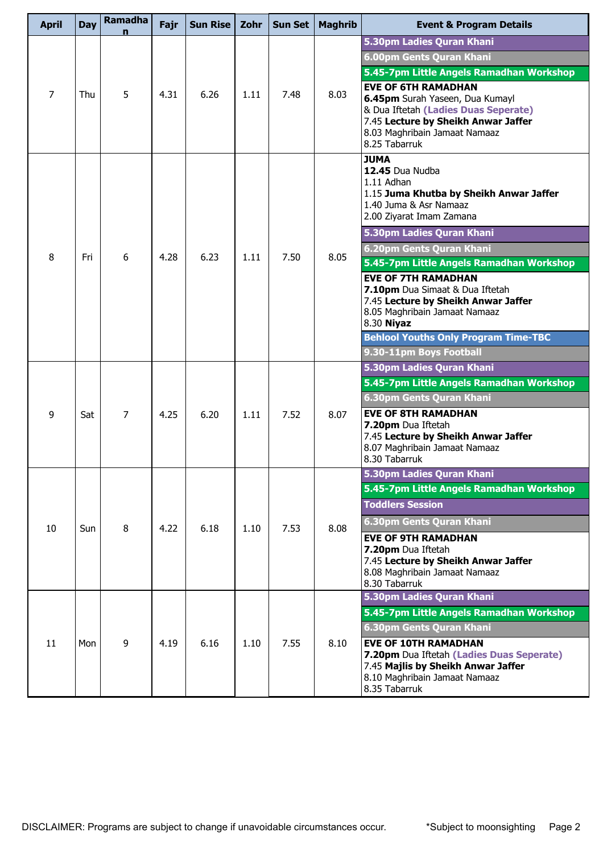| <b>April</b>   | Day | Ramadha | Fajr | <b>Sun Rise</b> | Zohr | <b>Sun Set</b> | <b>Maghrib</b> | <b>Event &amp; Program Details</b>                                                                                                                                                             |
|----------------|-----|---------|------|-----------------|------|----------------|----------------|------------------------------------------------------------------------------------------------------------------------------------------------------------------------------------------------|
|                |     |         |      |                 |      |                |                | 5.30pm Ladies Quran Khani                                                                                                                                                                      |
|                |     |         |      |                 |      |                |                | 6.00pm Gents Quran Khani                                                                                                                                                                       |
|                |     |         |      |                 |      |                |                | 5.45-7pm Little Angels Ramadhan Workshop                                                                                                                                                       |
| $\overline{7}$ | Thu | 5       | 4.31 | 6.26            | 1.11 | 7.48           | 8.03           | <b>EVE OF 6TH RAMADHAN</b><br>6.45pm Surah Yaseen, Dua Kumayl<br>& Dua Iftetah (Ladies Duas Seperate)<br>7.45 Lecture by Sheikh Anwar Jaffer<br>8.03 Maghribain Jamaat Namaaz<br>8.25 Tabarruk |
|                |     |         |      |                 |      |                | 8.05           | <b>JUMA</b><br>12.45 Dua Nudba<br>1.11 Adhan<br>1.15 Juma Khutba by Sheikh Anwar Jaffer<br>1.40 Juma & Asr Namaaz<br>2.00 Ziyarat Imam Zamana                                                  |
|                |     |         |      |                 |      |                |                | 5.30pm Ladies Quran Khani                                                                                                                                                                      |
| 8              | Fri | 6       | 4.28 | 6.23            | 1.11 | 7.50           |                | 6.20pm Gents Quran Khani                                                                                                                                                                       |
|                |     |         |      |                 |      |                |                | 5.45-7pm Little Angels Ramadhan Workshop                                                                                                                                                       |
|                |     |         |      |                 |      |                |                | <b>EVE OF 7TH RAMADHAN</b><br>7.10pm Dua Simaat & Dua Iftetah<br>7.45 Lecture by Sheikh Anwar Jaffer<br>8.05 Maghribain Jamaat Namaaz<br>8.30 Niyaz                                            |
|                |     |         |      |                 |      |                |                | <b>Behlool Youths Only Program Time-TBC</b>                                                                                                                                                    |
|                |     |         |      |                 |      |                |                | 9.30-11pm Boys Football                                                                                                                                                                        |
|                | Sat | 7       | 4.25 | 6.20            | 1.11 | 7.52           | 8.07           | 5.30pm Ladies Quran Khani                                                                                                                                                                      |
|                |     |         |      |                 |      |                |                | 5.45-7pm Little Angels Ramadhan Workshop                                                                                                                                                       |
|                |     |         |      |                 |      |                |                | 6.30pm Gents Quran Khani                                                                                                                                                                       |
| 9              |     |         |      |                 |      |                |                | <b>EVE OF 8TH RAMADHAN</b><br>7.20pm Dua Iftetah<br>7.45 Lecture by Sheikh Anwar Jaffer<br>8.07 Maghribain Jamaat Namaaz<br>8.30 Tabarruk                                                      |
|                |     |         | 4.22 |                 | 1.10 | 7.53           | 8.08           | 5.30pm Ladies Quran Khani                                                                                                                                                                      |
|                |     |         |      |                 |      |                |                | 5.45-7pm Little Angels Ramadhan Workshop                                                                                                                                                       |
|                |     |         |      |                 |      |                |                | <b>Toddlers Session</b>                                                                                                                                                                        |
| 10             | Sun | 8       |      | 6.18            |      |                |                | 6.30pm Gents Quran Khani                                                                                                                                                                       |
|                |     |         |      |                 |      |                |                | <b>EVE OF 9TH RAMADHAN</b><br>7.20pm Dua Iftetah<br>7.45 Lecture by Sheikh Anwar Jaffer<br>8.08 Maghribain Jamaat Namaaz<br>8.30 Tabarruk                                                      |
|                |     |         |      |                 |      |                |                | 5.30pm Ladies Quran Khani                                                                                                                                                                      |
|                |     |         |      |                 |      |                |                | 5.45-7pm Little Angels Ramadhan Workshop                                                                                                                                                       |
|                |     |         |      |                 |      |                |                | 6.30pm Gents Quran Khani                                                                                                                                                                       |
| 11             | Mon | 9       | 4.19 | 6.16            | 1.10 | 7.55           | 8.10           | <b>EVE OF 10TH RAMADHAN</b><br>7.20pm Dua Iftetah (Ladies Duas Seperate)<br>7.45 Majlis by Sheikh Anwar Jaffer<br>8.10 Maghribain Jamaat Namaaz<br>8.35 Tabarruk                               |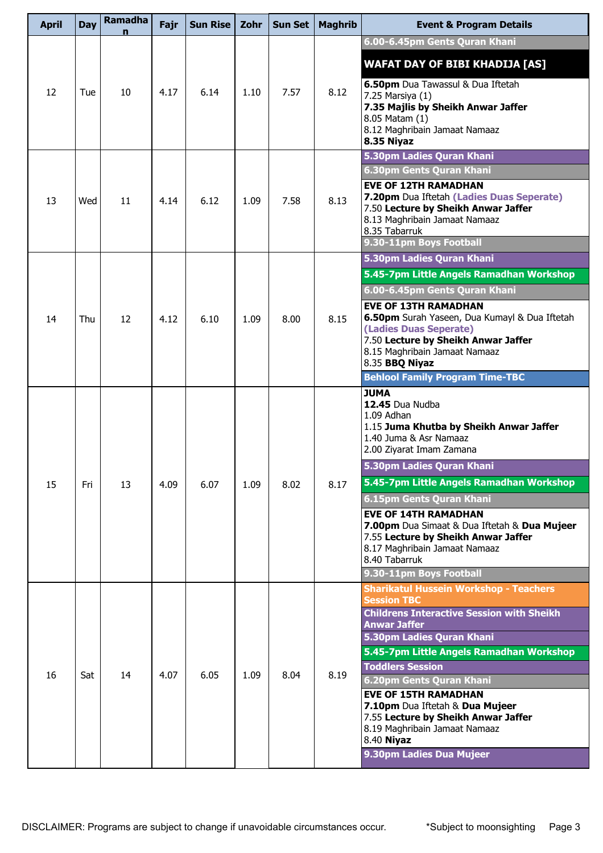| <b>April</b> | <b>Day</b> | <b>Ramadha</b><br>n | Fajr | <b>Sun Rise</b> | Zohr | <b>Sun Set</b> | <b>Maghrib</b> | <b>Event &amp; Program Details</b>                                                                                                                                                                                                                                                                                                                                      |
|--------------|------------|---------------------|------|-----------------|------|----------------|----------------|-------------------------------------------------------------------------------------------------------------------------------------------------------------------------------------------------------------------------------------------------------------------------------------------------------------------------------------------------------------------------|
|              |            |                     |      |                 |      |                |                | 6.00-6.45pm Gents Quran Khani                                                                                                                                                                                                                                                                                                                                           |
| 12           | Tue        | 10                  | 4.17 | 6.14            | 1.10 | 7.57           | 8.12           | <b>WAFAT DAY OF BIBI KHADIJA [AS]</b><br>6.50pm Dua Tawassul & Dua Iftetah<br>7.25 Marsiya (1)<br>7.35 Majlis by Sheikh Anwar Jaffer<br>8.05 Matam (1)<br>8.12 Maghribain Jamaat Namaaz                                                                                                                                                                                 |
|              |            |                     |      |                 |      |                |                | 8.35 Niyaz<br>5.30pm Ladies Quran Khani                                                                                                                                                                                                                                                                                                                                 |
| 13           | Wed        | 11                  | 4.14 | 6.12            | 1.09 | 7.58           | 8.13           | 6.30pm Gents Quran Khani<br><b>EVE OF 12TH RAMADHAN</b><br>7.20pm Dua Iftetah (Ladies Duas Seperate)<br>7.50 Lecture by Sheikh Anwar Jaffer<br>8.13 Maghribain Jamaat Namaaz<br>8.35 Tabarruk                                                                                                                                                                           |
|              |            |                     |      |                 |      |                |                | 9.30-11pm Boys Football                                                                                                                                                                                                                                                                                                                                                 |
|              |            |                     |      |                 |      |                |                | 5.30pm Ladies Quran Khani                                                                                                                                                                                                                                                                                                                                               |
|              |            |                     |      |                 |      |                |                | 5.45-7pm Little Angels Ramadhan Workshop                                                                                                                                                                                                                                                                                                                                |
| 14           | Thu        | 12                  | 4.12 | 6.10            | 1.09 | 8.00           | 8.15           | 6.00-6.45pm Gents Quran Khani<br><b>EVE OF 13TH RAMADHAN</b><br>6.50pm Surah Yaseen, Dua Kumayl & Dua Iftetah<br>(Ladies Duas Seperate)<br>7.50 Lecture by Sheikh Anwar Jaffer<br>8.15 Maghribain Jamaat Namaaz<br>8.35 BBQ Niyaz                                                                                                                                       |
|              |            |                     |      |                 |      |                |                | <b>Behlool Family Program Time-TBC</b>                                                                                                                                                                                                                                                                                                                                  |
| 15           | Fri        | 13                  | 4.09 | 6.07            | 1.09 | 8.02           | 8.17           | <b>JUMA</b><br>12.45 Dua Nudba<br>1.09 Adhan<br>1.15 Juma Khutba by Sheikh Anwar Jaffer<br>1.40 Juma & Asr Namaaz<br>2.00 Ziyarat Imam Zamana<br>5.30pm Ladies Quran Khani<br>5.45-7pm Little Angels Ramadhan Workshop<br>6.15pm Gents Quran Khani                                                                                                                      |
|              |            |                     |      |                 |      |                |                | <b>EVE OF 14TH RAMADHAN</b><br>7.00pm Dua Simaat & Dua Iftetah & Dua Mujeer<br>7.55 Lecture by Sheikh Anwar Jaffer<br>8.17 Maghribain Jamaat Namaaz<br>8.40 Tabarruk                                                                                                                                                                                                    |
|              |            |                     |      |                 |      |                |                | 9.30-11pm Boys Football<br><b>Sharikatul Hussein Workshop - Teachers</b>                                                                                                                                                                                                                                                                                                |
| 16           | Sat        | 14                  | 4.07 | 6.05            | 1.09 | 8.04           | 8.19           | <b>Session TBC</b><br><b>Childrens Interactive Session with Sheikh</b><br><b>Anwar Jaffer</b><br>5.30pm Ladies Quran Khani<br>5.45-7pm Little Angels Ramadhan Workshop<br><b>Toddlers Session</b><br>6.20pm Gents Quran Khani<br><b>EVE OF 15TH RAMADHAN</b><br>7.10pm Dua Iftetah & Dua Mujeer<br>7.55 Lecture by Sheikh Anwar Jaffer<br>8.19 Maghribain Jamaat Namaaz |
|              |            |                     |      |                 |      |                |                | 8.40 Niyaz<br>9.30pm Ladies Dua Mujeer                                                                                                                                                                                                                                                                                                                                  |
|              |            |                     |      |                 |      |                |                |                                                                                                                                                                                                                                                                                                                                                                         |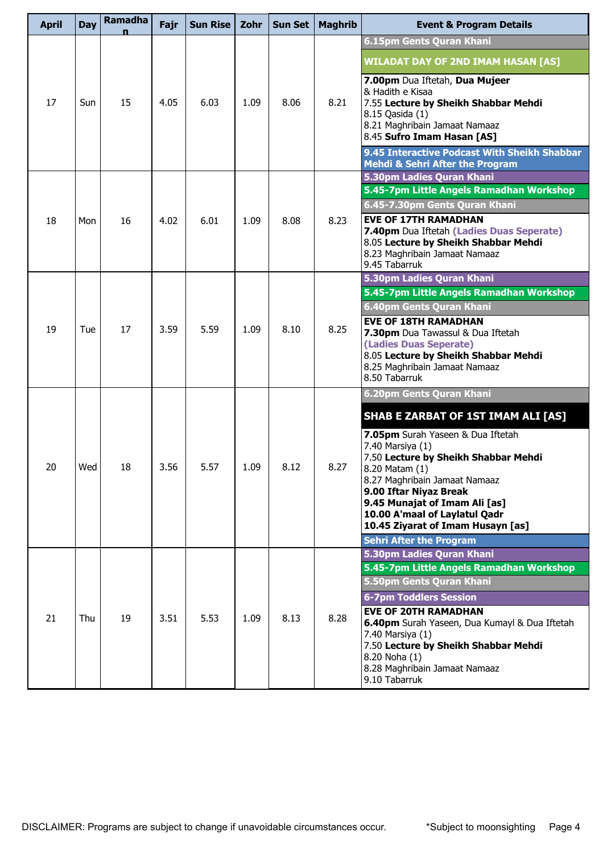| <b>April</b> | <b>Day</b> | Ramadha | Fajr | Sun Rise | Zohr | <b>Sun Set</b> | <b>Maghrib</b> | <b>Event &amp; Program Details</b>                                                                                                                                                                                                                                                                                  |
|--------------|------------|---------|------|----------|------|----------------|----------------|---------------------------------------------------------------------------------------------------------------------------------------------------------------------------------------------------------------------------------------------------------------------------------------------------------------------|
|              |            |         |      |          |      |                |                | 6.15pm Gents Quran Khani                                                                                                                                                                                                                                                                                            |
|              |            |         |      |          |      |                |                | <b>WILADAT DAY OF 2ND IMAM HASAN [AS]</b>                                                                                                                                                                                                                                                                           |
| 17           | Sun        | 15      | 4.05 | 6.03     | 1.09 | 8.06           | 8.21           | 7.00pm Dua Iftetah, Dua Mujeer<br>& Hadith e Kisaa<br>7.55 Lecture by Sheikh Shabbar Mehdi<br>8.15 Qasida (1)<br>8.21 Maghribain Jamaat Namaaz<br>8.45 Sufro Imam Hasan [AS]                                                                                                                                        |
|              |            |         |      |          |      |                |                | 9.45 Interactive Podcast With Sheikh Shabbar<br><b>Mehdi &amp; Sehri After the Program</b>                                                                                                                                                                                                                          |
|              |            |         |      |          |      |                |                | 5.30pm Ladies Quran Khani                                                                                                                                                                                                                                                                                           |
|              |            |         |      |          |      |                |                | 5.45-7pm Little Angels Ramadhan Workshop                                                                                                                                                                                                                                                                            |
|              |            |         |      |          |      |                |                | 6.45-7.30pm Gents Quran Khani                                                                                                                                                                                                                                                                                       |
| 18           | Mon        | 16      | 4.02 | 6.01     | 1.09 | 8.08           | 8.23           | <b>EVE OF 17TH RAMADHAN</b><br>7.40pm Dua Iftetah (Ladies Duas Seperate)<br>8.05 Lecture by Sheikh Shabbar Mehdi<br>8.23 Maghribain Jamaat Namaaz<br>9.45 Tabarruk                                                                                                                                                  |
|              |            | 17      | 3.59 | 5.59     | 1.09 | 8.10           | 8.25           | 5.30pm Ladies Quran Khani                                                                                                                                                                                                                                                                                           |
| 19           | Tue        |         |      |          |      |                |                | 5.45-7pm Little Angels Ramadhan Workshop                                                                                                                                                                                                                                                                            |
|              |            |         |      |          |      |                |                | 6.40pm Gents Quran Khani                                                                                                                                                                                                                                                                                            |
|              |            |         |      |          |      |                |                | <b>EVE OF 18TH RAMADHAN</b><br>7.30pm Dua Tawassul & Dua Iftetah<br>(Ladies Duas Seperate)<br>8.05 Lecture by Sheikh Shabbar Mehdi<br>8.25 Maghribain Jamaat Namaaz<br>8.50 Tabarruk                                                                                                                                |
|              |            |         |      |          |      |                |                | 6.20pm Gents Quran Khani                                                                                                                                                                                                                                                                                            |
|              |            |         |      |          |      |                |                | <b>SHAB E ZARBAT OF 1ST IMAM ALI [AS]</b>                                                                                                                                                                                                                                                                           |
| 20           | Wed        | 18      | 3.56 | 5.57     | 1.09 | 8.12           | 8.27           | 7.05pm Surah Yaseen & Dua Iftetah<br>7.40 Marsiya (1)<br>7.50 Lecture by Sheikh Shabbar Mehdi<br>8.20 Matam (1)<br>8.27 Maghribain Jamaat Namaaz<br>9.00 Iftar Niyaz Break<br>9.45 Munajat of Imam Ali [as]<br>10.00 A'maal of Laylatul Qadr<br>10.45 Ziyarat of Imam Husayn [as]<br><b>Sehri After the Program</b> |
|              |            |         |      |          |      |                |                | 5.30pm Ladies Quran Khani                                                                                                                                                                                                                                                                                           |
|              |            |         |      |          |      |                |                | 5.45-7pm Little Angels Ramadhan Workshop                                                                                                                                                                                                                                                                            |
|              |            |         |      |          |      |                |                | 5.50pm Gents Quran Khani                                                                                                                                                                                                                                                                                            |
|              |            |         |      |          |      |                |                | <b>6-7pm Toddlers Session</b>                                                                                                                                                                                                                                                                                       |
| 21           | Thu        | 19      | 3.51 | 5.53     | 1.09 | 8.13           | 8.28           | <b>EVE OF 20TH RAMADHAN</b><br>6.40pm Surah Yaseen, Dua Kumayl & Dua Iftetah<br>7.40 Marsiya (1)<br>7.50 Lecture by Sheikh Shabbar Mehdi<br>8.20 Noha (1)<br>8.28 Maghribain Jamaat Namaaz<br>9.10 Tabarruk                                                                                                         |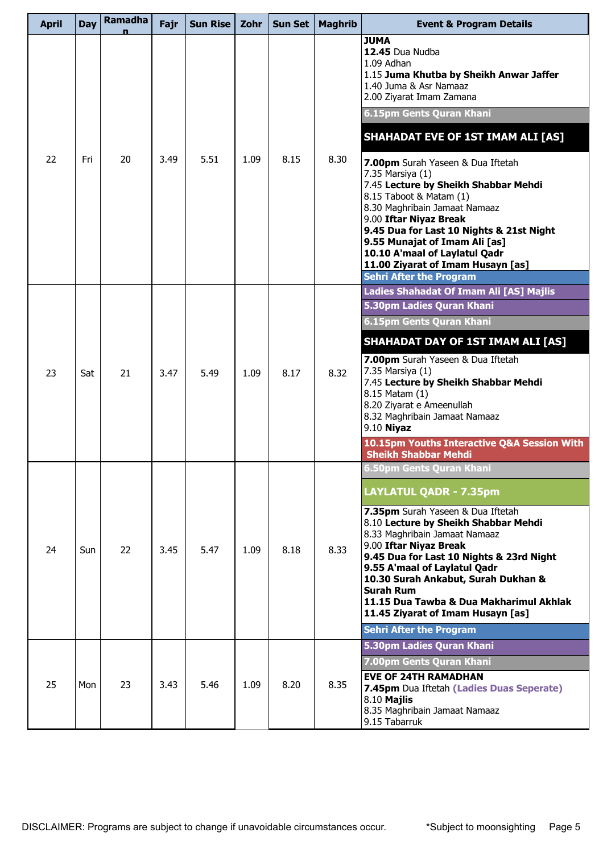| <b>April</b> | <b>Day</b> | Ramadha | Fajr | <b>Sun Rise</b> | Zohr | <b>Sun Set</b> | <b>Maghrib</b> | <b>Event &amp; Program Details</b>                                                                                                                                                                                                                                                                                                                                                                                                                         |
|--------------|------------|---------|------|-----------------|------|----------------|----------------|------------------------------------------------------------------------------------------------------------------------------------------------------------------------------------------------------------------------------------------------------------------------------------------------------------------------------------------------------------------------------------------------------------------------------------------------------------|
|              |            |         |      |                 |      |                |                | <b>JUMA</b><br>12.45 Dua Nudba<br>1.09 Adhan<br>1.15 Juma Khutba by Sheikh Anwar Jaffer<br>1.40 Juma & Asr Namaaz<br>2.00 Ziyarat Imam Zamana<br>6.15pm Gents Quran Khani                                                                                                                                                                                                                                                                                  |
|              |            |         |      |                 |      |                |                | <b>SHAHADAT EVE OF 1ST IMAM ALI [AS]</b>                                                                                                                                                                                                                                                                                                                                                                                                                   |
| 22           | Fri        | 20      | 3.49 | 5.51            | 1.09 | 8.15           | 8.30           | 7.00pm Surah Yaseen & Dua Iftetah<br>7.35 Marsiya (1)<br>7.45 Lecture by Sheikh Shabbar Mehdi<br>8.15 Taboot & Matam (1)<br>8.30 Maghribain Jamaat Namaaz<br>9.00 Iftar Niyaz Break<br>9.45 Dua for Last 10 Nights & 21st Night<br>9.55 Munajat of Imam Ali [as]<br>10.10 A'maal of Laylatul Qadr<br>11.00 Ziyarat of Imam Husayn [as]<br><b>Sehri After the Program</b>                                                                                   |
|              |            |         |      |                 |      |                |                | Ladies Shahadat Of Imam Ali [AS] Majlis                                                                                                                                                                                                                                                                                                                                                                                                                    |
|              |            |         |      |                 |      |                |                | 5.30pm Ladies Quran Khani<br>6.15pm Gents Quran Khani                                                                                                                                                                                                                                                                                                                                                                                                      |
| 23           | Sat        | 21      | 3.47 | 5.49            | 1.09 | 8.17           | 8.32           | <b>SHAHADAT DAY OF 1ST IMAM ALI [AS]</b><br>7.00pm Surah Yaseen & Dua Iftetah<br>7.35 Marsiya (1)<br>7.45 Lecture by Sheikh Shabbar Mehdi<br>8.15 Matam (1)<br>8.20 Ziyarat e Ameenullah<br>8.32 Maghribain Jamaat Namaaz<br>9.10 Niyaz<br>10.15pm Youths Interactive Q&A Session With                                                                                                                                                                     |
|              |            |         |      |                 |      |                |                | <b>Sheikh Shabbar Mehdi</b>                                                                                                                                                                                                                                                                                                                                                                                                                                |
| 24           | <b>Sun</b> | 22      | 3.45 | 5.47            | 1.09 | 8.18           | 8.33           | 6.50pm Gents Ouran Khani<br><b>LAYLATUL QADR - 7.35pm</b><br>7.35pm Surah Yaseen & Dua Iftetah<br>8.10 Lecture by Sheikh Shabbar Mehdi<br>8.33 Maghribain Jamaat Namaaz<br>9.00 Iftar Niyaz Break<br>9.45 Dua for Last 10 Nights & 23rd Night<br>9.55 A'maal of Laylatul Qadr<br>10.30 Surah Ankabut, Surah Dukhan &<br><b>Surah Rum</b><br>11.15 Dua Tawba & Dua Makharimul Akhlak<br>11.45 Ziyarat of Imam Husayn [as]<br><b>Sehri After the Program</b> |
|              |            |         |      |                 |      |                |                | 5.30pm Ladies Quran Khani                                                                                                                                                                                                                                                                                                                                                                                                                                  |
| 25           | Mon        | 23      | 3.43 | 5.46            | 1.09 | 8.20           | 8.35           | 7.00pm Gents Quran Khani<br><b>EVE OF 24TH RAMADHAN</b><br>7.45pm Dua Iftetah (Ladies Duas Seperate)<br>8.10 Majlis<br>8.35 Maghribain Jamaat Namaaz<br>9.15 Tabarruk                                                                                                                                                                                                                                                                                      |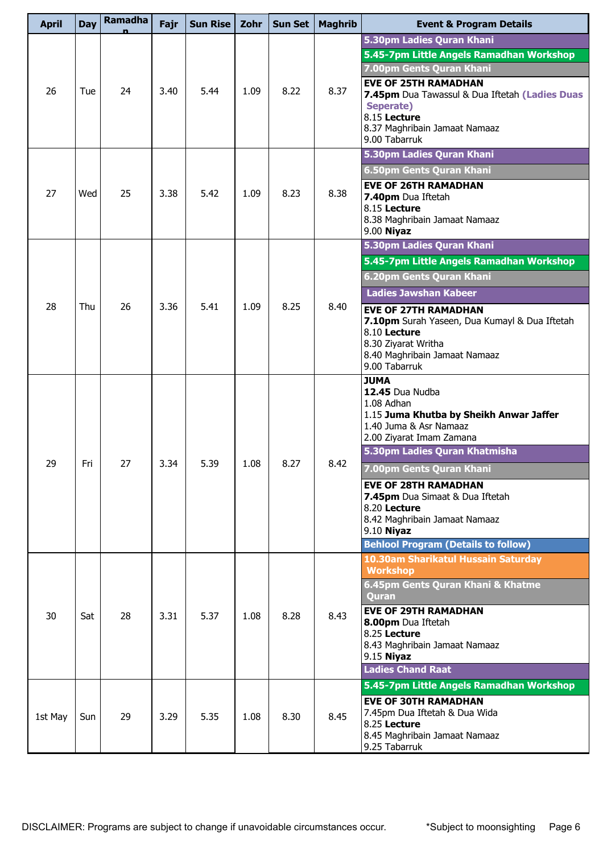| 5.30pm Ladies Quran Khani<br>5.45-7pm Little Angels Ramadhan Workshop<br>7.00pm Gents Quran Khani<br><b>EVE OF 25TH RAMADHAN</b><br>26<br>24<br>5.44<br>1.09<br>8.22<br>8.37<br>3.40<br>Tue<br>7.45pm Dua Tawassul & Dua Iftetah (Ladies Duas<br>Seperate)<br>8.15 Lecture<br>8.37 Maghribain Jamaat Namaaz<br>9.00 Tabarruk<br>5.30pm Ladies Quran Khani<br>6.50pm Gents Quran Khani<br><b>EVE OF 26TH RAMADHAN</b><br>27<br>25<br>3.38<br>5.42<br>1.09<br>8.23<br>8.38<br>Wed<br>7.40pm Dua Iftetah<br>8.15 Lecture<br>8.38 Maghribain Jamaat Namaaz<br>$9.00$ Niyaz<br>5.30pm Ladies Quran Khani<br>5.45-7pm Little Angels Ramadhan Workshop |  |
|-------------------------------------------------------------------------------------------------------------------------------------------------------------------------------------------------------------------------------------------------------------------------------------------------------------------------------------------------------------------------------------------------------------------------------------------------------------------------------------------------------------------------------------------------------------------------------------------------------------------------------------------------|--|
|                                                                                                                                                                                                                                                                                                                                                                                                                                                                                                                                                                                                                                                 |  |
|                                                                                                                                                                                                                                                                                                                                                                                                                                                                                                                                                                                                                                                 |  |
|                                                                                                                                                                                                                                                                                                                                                                                                                                                                                                                                                                                                                                                 |  |
|                                                                                                                                                                                                                                                                                                                                                                                                                                                                                                                                                                                                                                                 |  |
|                                                                                                                                                                                                                                                                                                                                                                                                                                                                                                                                                                                                                                                 |  |
|                                                                                                                                                                                                                                                                                                                                                                                                                                                                                                                                                                                                                                                 |  |
|                                                                                                                                                                                                                                                                                                                                                                                                                                                                                                                                                                                                                                                 |  |
| 6.20pm Gents Quran Khani                                                                                                                                                                                                                                                                                                                                                                                                                                                                                                                                                                                                                        |  |
| <b>Ladies Jawshan Kabeer</b><br>28<br>26<br>5.41<br>8.25<br>1.09                                                                                                                                                                                                                                                                                                                                                                                                                                                                                                                                                                                |  |
| 3.36<br>8.40<br>Thu<br><b>EVE OF 27TH RAMADHAN</b><br>7.10pm Surah Yaseen, Dua Kumayl & Dua Iftetah<br>8.10 Lecture<br>8.30 Ziyarat Writha<br>8.40 Maghribain Jamaat Namaaz<br>9.00 Tabarruk                                                                                                                                                                                                                                                                                                                                                                                                                                                    |  |
| <b>JUMA</b><br>12.45 Dua Nudba<br>1.08 Adhan<br>1.15 Juma Khutba by Sheikh Anwar Jaffer<br>1.40 Juma & Asr Namaaz<br>2.00 Ziyarat Imam Zamana<br>5.30pm Ladies Quran Khatmisha                                                                                                                                                                                                                                                                                                                                                                                                                                                                  |  |
| 27<br>5.39<br>8.27<br>8.42<br>29<br>Fri<br>3.34<br>1.08<br>7.00pm Gents Quran Khani                                                                                                                                                                                                                                                                                                                                                                                                                                                                                                                                                             |  |
| <b>EVE OF 28TH RAMADHAN</b><br>7.45pm Dua Simaat & Dua Iftetah<br>8.20 Lecture<br>8.42 Maghribain Jamaat Namaaz<br>9.10 Niyaz<br><b>Behlool Program (Details to follow)</b>                                                                                                                                                                                                                                                                                                                                                                                                                                                                     |  |
| 10.30am Sharikatul Hussain Saturday                                                                                                                                                                                                                                                                                                                                                                                                                                                                                                                                                                                                             |  |
| <b>Workshop</b><br>6.45pm Gents Quran Khani & Khatme<br><b>Ouran</b>                                                                                                                                                                                                                                                                                                                                                                                                                                                                                                                                                                            |  |
| <b>EVE OF 29TH RAMADHAN</b><br>8.43<br>30<br>28<br>3.31<br>5.37<br>1.08<br>8.28<br>Sat<br>8.00pm Dua Iftetah<br>8.25 Lecture<br>8.43 Maghribain Jamaat Namaaz<br>9.15 Niyaz                                                                                                                                                                                                                                                                                                                                                                                                                                                                     |  |
| <b>Ladies Chand Raat</b>                                                                                                                                                                                                                                                                                                                                                                                                                                                                                                                                                                                                                        |  |
| 5.45-7pm Little Angels Ramadhan Workshop<br><b>EVE OF 30TH RAMADHAN</b>                                                                                                                                                                                                                                                                                                                                                                                                                                                                                                                                                                         |  |
| 7.45pm Dua Iftetah & Dua Wida<br>5.35<br>8.45<br>29<br>3.29<br>1.08<br>8.30<br>1st May<br>Sun<br>8.25 Lecture<br>8.45 Maghribain Jamaat Namaaz<br>9.25 Tabarruk                                                                                                                                                                                                                                                                                                                                                                                                                                                                                 |  |